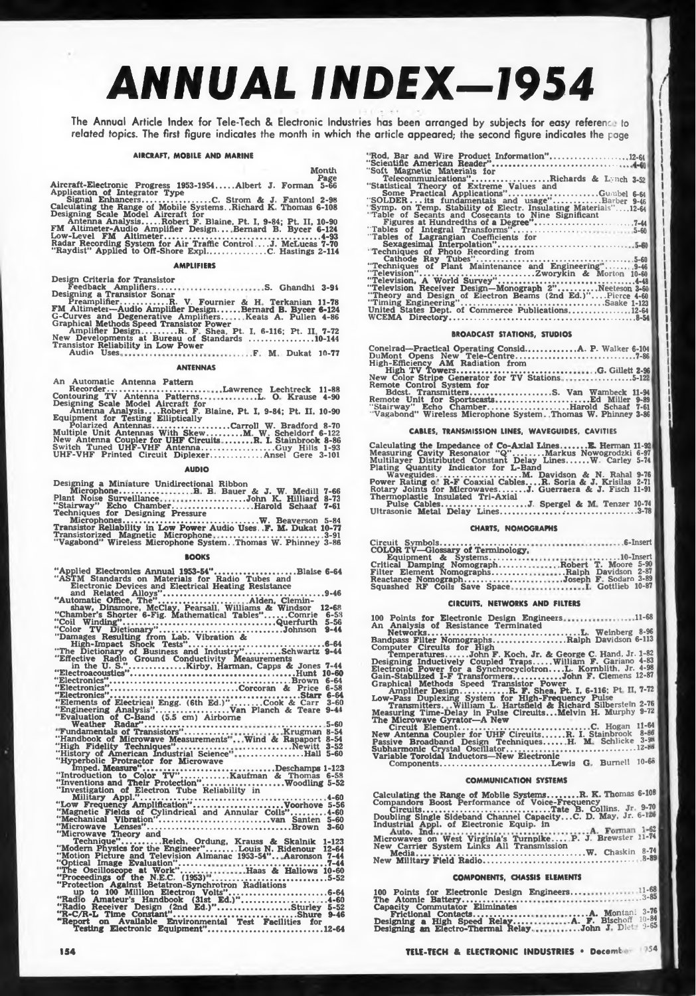# *ANNUAL INDEX-1954 <sup>I</sup>*

The Annual Article Index for Tele-Tech & Electronic Industries has been arranged by subjects for easy reference to related topics. The first figure indicates the month in which the article appeared; the second figure indicates the page

# **AIRCRAFT, MOBILE AND MARINE**

**Month**

Aircraft-Electronic Progress 1953-1954.....Albert J. Forman 5-66<br>Application of Integrator Type<br>Calculating the Range of Mobile Systems..Richard K. Thomas 6-108<br>Designing Scale Model Aircraft for<br>Designing Scale Model Airc

#### **AMPLIFIERS**

**Design Criteria for Transistor Feedback Amplifiers. Designing a Transistor Sonar S. Ghandhi 3-91** Praemplifier..............R. V. Fournier & H. Terkanian 11-78<br>
FM Altimeter-Audio Amplifier Design.......Bernard B. Bycer 6-124<br>
G-Curves and Degenerative Amplifiers.........Bernard B. Bycer 6-124<br>
Graphical Methods Speed

# **ANTENNAS**

**An Automatic Antenna Pattern Recorder..................................... Contouring TV Antenna Patterns.. Designing Scale Model Aircraft for Lawrence Lechtreck 11-88 ............... L. O Krause 4-90**

**Antenna Analysis....Robert F. Blaine, Pt. I, 9-84; Pt. II. 10-90 Equipment for Testing EUiptically Polarized Antennas.................................. Carroll W. Bradford 8-70 Multiple Unit Antennas With Skew............... M W Scheldorf 6-122 New Antenna Coupler for UHF Circuits........... R. I. Stainbrook 8-86 Switch Tuned UHF-VHF Antenna................................ Guy Hills 1-93 UHF-VHF Printed Circuit Diplexer...................... Ansel Gere 3-101**

# **AUDIO**

**Designing a Miniature Unidirectional Ribbon Microphone................. Plant Noise Surveillance B B Bauer & J. W. Medill .........................John K. Hilliard .................... Harold Schaaf 7-66 8-73 "Stairway" Echo Chamber............................................................... 7-61 Techniques for Designing Pressure Microphones............................................................ W. Beaverson\_\_\_ Transistor Reliability in Low Power Audio Uses. .F. M. Dukat 10-77 Transistorized Magnetic Microphone ............... 3-91**

**"Vagabond" Wireless Microphone System. Thomas W- Phinney 3-86 5-84**

#### **BOOKS**

| "Applied Electronics Annual 1953-54"Blaise 6-64                  |
|------------------------------------------------------------------|
| "ASTM Standards on Materials for Radio Tubes and                 |
| Electronic Devices and Electrical Heating Resistance             |
|                                                                  |
| "Automatic Office, The"Alden, Clemin-                            |
| 12-68<br>shaw, Dinsmore, McClay, Pearsall, Williams & Windsor    |
| "Chamber's Shorter 6-Fig. Mathematical Tables"Comrie<br>$6 - 58$ |
| $5 - 56$                                                         |
| "Color TV Dictionary"Johnson<br>$9 - 44$                         |
| "Damages Resulting from Lab. Vibration &                         |
|                                                                  |
| "The Dictionary of Business and Industry"Schwartz 9-44           |
| "Effective Radio Ground Conductivity Measurements                |
|                                                                  |
|                                                                  |
|                                                                  |
| "Electronics"Corcoran & Price 6-58                               |
|                                                                  |

**"Electronics"........................................................... Starr 6-64 6-58 6-64 3-60 9-41**

**"Elements of Electrical Engg. (6th Ed.)'' ........... Cook & Carr "Engineering Analysis"................................ Van Planch & Teare "Evaluation of C-Band (5.5 cm) Airborne Weather Radar"....................................**

**................. 5-60 Fundamentals of Transistors"............... Krugman 8-54 "Handbook of Microwave Measurements" "High Fidelity Techniques"...................... "History of American Industrial Science\* "Hyperbolic Protractor for Microwave Imped. Measure"......... ................................................ Deschamps 1-123 "Introduction to Color TV'.....................Kaufman & Thomas 6-58 "Inventions and Their Protection"..................................Woodling 5-52 "Investigation of Electron Tube Reliability in Military Appl."...................................................................................4-60 "Low Frequency Amplification"........................................Voorhove 5-56 "Magnetic Fields of Cylindrical and Annular Coils" 4-60 "Mechanical Vibration"................................................. van Santen 5-60 "Microwave Lenses"................................................................Brown 3-60 Wind & Rapaport 8-54 .....................Newitt...3-52 ...........................HaU 5-60**

"Nicrowave Theory and<br>
"Microwave Theory and<br>
"Modern Physics for the Engineer"........Louis N. Ridenour 12-64<br>
"Modion Picture and Television Almanac 1953-54"....Aaronson 7-44<br>
"Optical Image Evaluation".................. **............... .................... 7-44 Haas & Hallows 10-60 .................................... 5-52**

**Testing Electronic Equipment".......................... .....12-64**

| "Rod, Bar and Wire Product Information"12-64                    |
|-----------------------------------------------------------------|
|                                                                 |
| "Soft Magnetic Materials for                                    |
| Telecommunications"Richards & Lynch 3-52                        |
| "Statistical Theory of Extreme Values and                       |
|                                                                 |
| "SOLDER its fundamentals and usage"Barber 9-46                  |
| "Symp. on Temp. Stability of Electr. Insulating Materials"12-64 |
| "Table of Secants and Cosecants to Nine Significant             |
|                                                                 |
|                                                                 |
| "Tables of Lagrangian Coefficients for                          |
|                                                                 |
| "Techniques of Photo Recording from                             |
|                                                                 |
| "Techniques of Plant Maintenance and Engineering" 9-46          |
| "Television"Zworykin & Morton 10-60                             |
|                                                                 |
| "Television Receiver Design-Monograph 2"Neeteson 3-60           |
| "Theory and Design of Electron Beams (2nd Ed.)"Pierce 4-60      |
|                                                                 |
| United States Dept. of Commerce Publications12-64               |
|                                                                 |

#### **BROADCAST STATIONS, STUDIOS**

| Conelrad—Practical Operating ConsidA. P. Walker 6-104              |  |
|--------------------------------------------------------------------|--|
|                                                                    |  |
|                                                                    |  |
|                                                                    |  |
| New Color Stripe Generator for TV Stations5-122                    |  |
| Remote Control System for                                          |  |
| note Control System for<br>Bdcst. TransmittersS. Van Wambeck 11-94 |  |
|                                                                    |  |
| "Stairway" Echo ChamberHarold Schaaf 7-61                          |  |
| "Vagabond" Wireless Microphone System. Thomas W. Phinney 3-86      |  |
|                                                                    |  |

# **CABLES, TRANSMISSION LINES, WAVEGUIDES. CAVITIES**

**Calculating the Impedance of Co-Axial Lines...........E. Hernan 11-92 Measuring Cavity Resonator "Q"............. Markus Nowogrodzki ' Multilayer Distributed Constant Delay Lines..........W. Carley Plating Quantity Indicator for L-Band Waveguides......................................M. Davidson & N. Rahal 6-97 5-74**

**9-76 Power Rating o.' R-F Coaxial Cables... .R. Soria & J. Krisilas 2-71. Rotary Joints for Microwaves........... J. Guerraera & J. Fisch 11-91 Thermoplastic Insulated Tri-Axial Pulse Cables......................................J. Spergel & M Tenzer 10-74 Ultrasonic Metal Delay Lines.................. .-............................... 3-78**

# **CHARTS. NOMOGRAPHS**

| <b>COLOR TV-Glossary of Terminology.</b>       |  |
|------------------------------------------------|--|
|                                                |  |
| Critical Damping NomographRobert T. Moore 5-90 |  |
| Filter Element NomographsRalph Davidson 2-87   |  |
| Reactance NomographJoseph F. Sodaro 3-89       |  |
|                                                |  |

#### **CIRCUITS, NETWORKS AND FILTERS**

| 100 Points for Electronic Design Engineers11-68<br>An Analysis of Resistance Terminated                                |
|------------------------------------------------------------------------------------------------------------------------|
|                                                                                                                        |
| Bandpass Filter NomographsRalph Davidson 6-113                                                                         |
| Computer Circuits for High<br>TemperaturesJohn F. Koch, Jr. & George C. Hand, Jr. 1-82                                 |
| Designing Inductively Coupled TrapsWilliam F. Gariano 4-83                                                             |
| Electronic Power for a SynchrocyclotronL. Kornblith. Jr. 4-98<br>Gain-Stabilized I-F TransformersJohn F. Clemens 12-87 |
| Graphical Methods Speed Transistor Power                                                                               |
| Amplifier DesignR. F. Shea, Pt. I. 6-116; Pt. II, 7-72                                                                 |
| Low-Pass Duplexing System for High-Frequency Pulse<br>Transmitters William L. Hartsfield & Richard Silberstein 2-76    |
| $9 - 72$<br><b>Measuring Time-Delay in Pulse Circuits Melvin H. Murphy</b>                                             |
| The Microwave Gyrator—A New<br>$11 - 64$                                                                               |
| $8 - 86$<br><b>New Antenna Coupler for UHF CircuitsR. I. Stainbrook</b>                                                |
| $3 - 90$<br>Passive Broadband Design Techniques H. M. Schlicke                                                         |
|                                                                                                                        |
| Variable Toroidal Inductors-New Electronic<br>ComponentsLewis G. Burnell 10-68                                         |
|                                                                                                                        |
|                                                                                                                        |

# **COMMUNICATION SYSTEMS**

Calculating the Range of Mobile Systems........R. K. Thomas 6-108<br>Compandors Boost Performance of Voice-Frequency<br>Directits..............................Tate B. Collins. Jr. 9-70<br>Doubling Single Sideband Channel Capacity.

| Microwaves on West Virginia's Turnpike P. J. Brewster 11-74 |  |  |          |
|-------------------------------------------------------------|--|--|----------|
| New Carrier System Links All Transmission                   |  |  |          |
|                                                             |  |  | $8 - 89$ |

#### **COMPONENTS, CHASSIS ELEMENTS**

|  |                                       | 100 Points for Electronic Design Engineers11-68     |  |
|--|---------------------------------------|-----------------------------------------------------|--|
|  | <b>Capacity Commutator Eliminates</b> |                                                     |  |
|  |                                       |                                                     |  |
|  |                                       | Designing a High Speed Relay A. F. Bischoff 10-84   |  |
|  |                                       | Designing an Electro-Thermal RelayJohn J. Dietro-65 |  |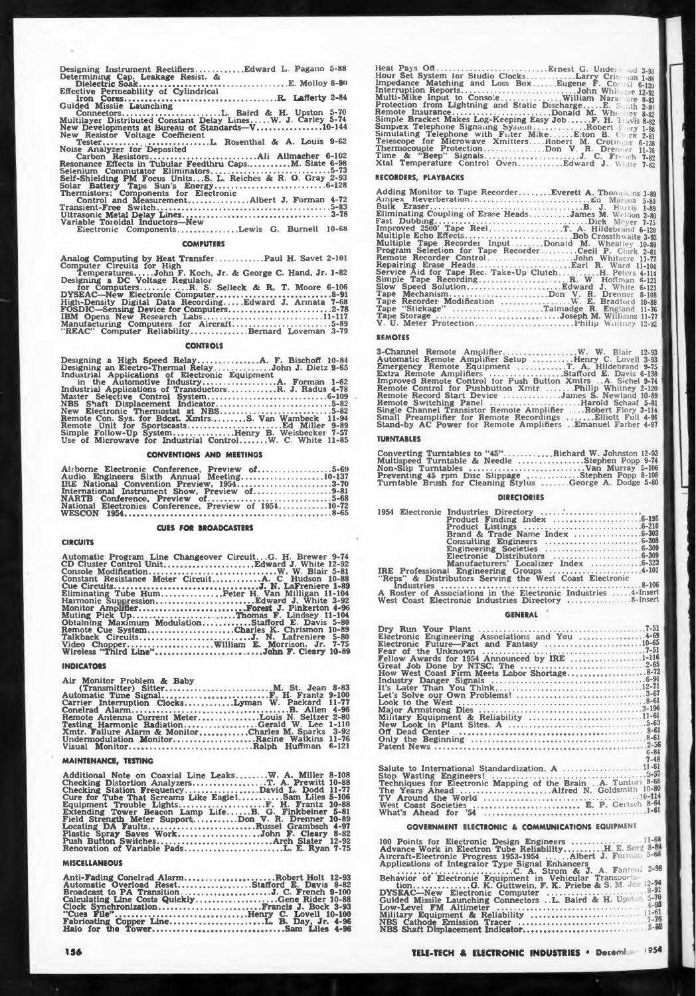**Analog Computing by Heat Transfer. Paul H. Savet 2-101 Computer Circuits for High Temperatures.John F. Koch, Jr. & George C. Hand. Jr. 1-82 Designing a DC Voltage Regulator for Computers............ R. S. Selleck & R T. Moore 6-106 DYSEAC—New Electronic Computer...............................................8-91 High-Density Digital Data Recording.... Edward J. Arinata 7-68 FOSDIC—Sensing Device for Computers.........................................2-78 IBM Opens New Research Labs ............................................... 11-117 Manufacturing Computers for Aircraft....................................... 5-89 "REAC" Computer Reliability..................... Bernard Loveman 3-79**

#### **CONTROLS**

| Designing an Electro-Thermal RelayJohn J. Dietz 9-65     |
|----------------------------------------------------------|
| Industrial Applications of Electronic Equipment          |
|                                                          |
| Industrial Applications of TransductorsR. J. Radus 4-78  |
|                                                          |
| NBS Shaft Displacement Indicator5-82                     |
| New Electronic Thermostat at NBS5-82                     |
| Remote Con. Sys. for Bdcst. XmtrsS. Van Wambeck 11-94    |
|                                                          |
| Simple Follow-Up SystemHenry B. Weisbecker 7-57          |
| Use of Microwave for Industrial ControlW. C. White 11-85 |

#### **CONVENTIONS AND MEETINGS**

| IRE National Convention Preview, 19543-70             |  |  |  |  |  |  |  |  |
|-------------------------------------------------------|--|--|--|--|--|--|--|--|
|                                                       |  |  |  |  |  |  |  |  |
|                                                       |  |  |  |  |  |  |  |  |
| National Electronics Conference, Preview of 195410-72 |  |  |  |  |  |  |  |  |
|                                                       |  |  |  |  |  |  |  |  |

#### **CUES FOR BROADCASTERS**

**CIRCUITS**

**Automatic Program Line Changeover Circuit.. G. H. Brewer 9-74 CD Cluster Control Unit.....................................Edward J. White 12-92 Console Modification.......................... Constant Resistance Meter Circuit Cue Circuits........................................ Eliminating Tube Hum..................... Harmonic Suppression....................... Monitor Amplifier............ . ............... Muting Pick Up................................. Obtaining Maximum Modulation... Remote Cue System.......................... Talkback Circuits.............................. Video Chopper................................. Wireless "Third Line"......................... .......................W. W. Blair 5-81 ................A. C. Hudson 10-88 ............. J. N. LaFreniere 1-89 Peter H. Van Milligan 11-104 ........... Edward J. White 3-92 ......Forest J. Pinkerton 4-96 ... .Thomas F. Lindsey 11-104 .......... Stafford E. Davis 5-80 ...Charles K. Chrismon 10-89 ,. ...........J. N. Lafreniere William E. Morrison. Jr. ....... ... .John F. Cleary 5-80 7-75 10-89**

#### **INDICATORS**

**Air Monitor Problem & Baby (Transmitter) Sitter....... Automatic Time Signal............... Carrier Interruption Clocks.... Conelrad Alarm............................ Remote Antenna Current Meter. Testing Harmonic Radiation.... Xmtr. Failure Alarm & Monitor Undermodulation Monitor.......... Visual Monitor........................ . .** M. St. Jean 8-83<br>
1. W. Trantz 9-100<br>
1. Tyman W. Packard 11-77<br>
1. W. Packard 11-77<br>
1. Couis N. Seltzer 2-80<br>
1. Gerald W. Lee 1-110<br>
1. Racine Watkins 11-76<br>
1. Racine Watkins 11-76<br>
1. Racine Watkins 11-76<br>
1. Racine W **1-110 3-92 11-76 6-121**

#### **MAINTENANCE, TESTING**

**Additional Note on Coaxial Line Leaks. Checking Distortion Analyzers................. Checking Station Frequency..................... Cure for Tube That Screams Like Eagle! Equipment Trouble Lights........................ Extending Tower Beacon Lamp Life... Field Strength Meter Support.................. <sup>i</sup> Locating DA Faults.................. ................ Plastic Spray Saves Work....... . ............... Push Button Switches................................. Renovation of Variable Pads..................... . ..W. A. Miller . .T. A. Prewitt David L. Dodd 8-108 10-88 11-77 !................Sam Liles 5-106 ..........F H. Frantz 10-88 ....B. G. Finkbeiner 5-81 Don V. R. Drenner 10-89 ....... Russel Grambsch 4-97 ..... .John F. Cleary 8-82 ..............Arch Slater 12-92 ...................L. E Ryan 7-75**

#### **MISCELLANEOUS**

**Anti-Fading Conelrad Alarm... Automatic Overload Reset....... Broadcast to PA Transition. ... Calculating Line Costs Quickly Clock Synchronization.............. "Cues File".................................... Fabricating Copper Line........... Halo for the Tower................... ...........Robert Holt 12-93 ..Stafford E Davis 8-82 .........J. C. French 9-100 ............. Gene Rider 10-88 ....Francis J. Bock 3-93 .Henry C. Lovell 10-100 ....... L. B. Day, Jr. 4-96 ................. Sam Liles 4-96** **Heat Pays Off.............................................Ernest G. Undei Hour Set System for Studio Clocks... . . Larry Cris-Impedance Matching and Loss Box Eugene F. Co' Interruption Reports............................................... John Whit ... . Multi-Mike Input tn Console William Nara ire \*8-83 Protection from Lightning and Static Discharge .. .E. S ..th 2-») Remote Insurance..........Donald M. Whe lev 8-82 Simple Bracket Makes Log-Keeping Easy Job........ F. H. I .vis 8-82 Simplex Telephone Signaling System . . Robert ry 1-88 Simulating Telephone with Filter Mike. ...E.ton B <sup>C</sup> ;Ck 2-81 Telescope for Microwave Xmitters... .Robert M. Crotib. <sup>r</sup> 6-138 Thermocouple Protection ....... . Don <sup>V</sup> R. Drem er 11-76 Time & 'Beep" Signals. ... . <sup>~</sup> <sup>~</sup> \_ Xtal Temperature Control Oven Jd 3-93 an 1-88 il 6-12J e 12-92 . J. C French 7-82 Edward J W! ite 7-82**

#### **RECORDERS, PLAYBACKS**

| Adding Monitor to Tape RecorderEverett A. Thony Rins 1-89 |
|-----------------------------------------------------------|
| Eliminating Coupling of Erase HeadsJames M. Weldon 2-80   |
|                                                           |
|                                                           |
|                                                           |
| Multiple Tape Recorder InputDonald M. Wheatley 10-89      |
| Program Selection for Tape RecorderCecil P. Clark 2-81    |
| Remote Recorder ControlJohn Whitacre 11-77                |
|                                                           |
| Service Aid for Tape Rec. Take-Up ClutchH. Peters 4-114   |
| Simple Tape RecordingR. W. Hoffman 6-121                  |
|                                                           |
|                                                           |
| Tape Recorder Modification  E. Bradford 10-88             |
| Tape "Stickage" Talmadge R. England 11-76                 |
| Tape Storage Joseph M. Williams 11-77                     |
|                                                           |

#### **REMOVES**

**3-Channel Remo**te Amplifier......<br>Automatic Remote Amplifier Setup<br>Emergency Remote Equipment<br>Extra Remote Amplifiers **W. W. Blair 12-93 ...Henry C. Lovell 3-93 .T A Hildebrand 9-75 Stafford E. Davis 6-138 Improved Remote Control for Push Button Xmtrs ..Ä. Sichel 9-74 Remote Control for Pushbutton Xmtr .......... Philip Whitney 2-120 Remote Record Start Device ...................... James S. Newland 10-89 Remote Switching Panel .....................................Harold Schaaf 5-81 Single Channel Transistor Remote Amplifier .. . Robert Flory 3-114 Small Preamplifier for Remote Recordings Elliott Full 4-91 Stand-by AC Power for Remote Amplifiers Emanuel Farber 4-97**

#### **TURNTABLES**

Converting Turntables to "45"........<br>Multispeed Turntable & Needle ......<br>Non-Slip Turntables .......................<br>Preventing 45 rpm Disc Slippage ....<br>Turntable Brush for Cleaning Stylus Richard W. Johnston 12-93<br>.......Stephen Popp 9-74<br>.......Stephen Popp 5-106<br>......Stephen Popp 8-106<br>....George A. Dodge 5-80

# **DIRECTORIES**

| Product Listings $\dots \dots \dots \dots \dots \dots \dots \dots 6-210$ |  |
|--------------------------------------------------------------------------|--|
|                                                                          |  |
|                                                                          |  |
|                                                                          |  |
|                                                                          |  |
|                                                                          |  |
|                                                                          |  |
| "Reps" & Distributors Serving the West Coast Electronic                  |  |
|                                                                          |  |
| A Destes of Acceptations in the Plastmenia Industries  A Incent          |  |

**<sup>A</sup> Roster of Associations in the Electronic Industries . West Coast Electronic Industries Directory ......................... 4-Insert 8-Insert**

#### **GENERAL**

| Electronic Engineering Associations and You  4-69              |  |
|----------------------------------------------------------------|--|
| Electronic Future-Fact and Fantasy 10-65                       |  |
|                                                                |  |
| Fellow Awards for 1954 Announced by IRE 1-116                  |  |
|                                                                |  |
|                                                                |  |
|                                                                |  |
|                                                                |  |
|                                                                |  |
|                                                                |  |
|                                                                |  |
|                                                                |  |
|                                                                |  |
|                                                                |  |
|                                                                |  |
| $6 - 84$                                                       |  |
| $7 - 48$                                                       |  |
|                                                                |  |
|                                                                |  |
| Techniques for Electronic Mapping of the Brain A. Tunturi 8-66 |  |
| The Years Ahead  Alfred N. Goldsmith 10-80                     |  |
|                                                                |  |
| West Coast Societies  E. P. Gertsch 8-64                       |  |
|                                                                |  |
|                                                                |  |

# **GOVERNMENT ELECTRONIC & COMMUNICATIONS EQUIPMENT**

**100 Points tor Electronic Design Engineers .......................... Advance Work in Electron Tube Reliability............. H E. S< : Aircraft-Electronic Progress 1953-1954 .. . Albert J. Forr . 5-bo Applications of Integrator Type Signal Enhancers.............................. ...................7...........** *.r..C* **A. Strom & J. A. Fantom 2-98**

| Behavior of Electronic Equipment in Vehicular Transport    |  |
|------------------------------------------------------------|--|
| tionG. K. Guttwein, F. K. Priebe & S. M. Je 12-94          |  |
|                                                            |  |
| Guided Missile Launching Connectors L. Baird & H. Up: 5-70 |  |
|                                                            |  |
|                                                            |  |
|                                                            |  |
|                                                            |  |
|                                                            |  |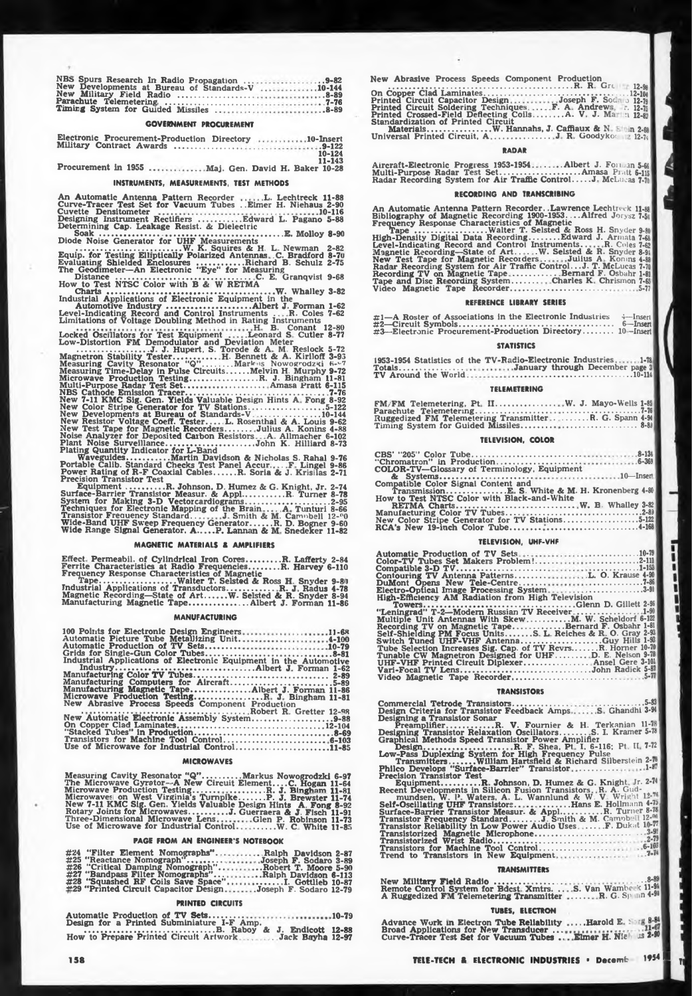**NB& Spurs Research In Radio Propagation ... New Developments at Bureau of Standards-V New Military Field Radio Parachute Telemetering Timirg System for Guided Missiles .. . ..9-82 10-144 ..8-89 ,. 7-76 ..8-8»**

# **GOVERNMENT PROCUREMENT**

**Electronic Procurement-Production Directory Military Contract Awards ............................ 10-Insert .. .9-122 10-124 11-143**

**Procurement in 1955 .Maj. Gen. David H. Baker 10-28**

#### **INSTRUMENTS, MEASUREMENTS, TEST METHODS**

**An Automatic Antenna Pattern Recorder L. Lechtreck 11-88 Curve-Tracer Test Set for Vacuum Tubes . .Elmer H. Niehaus 2-90 Cuvette Densitometer 10-116 Designing Instrument Rectifiers..................Edward L. Pagano 5-88 Determining Cap. Leakage Resist. & Dielectric Soak....... . ......... E. Molloy 8-90**

Diode Noise Generator for UHF Measurements<br>Equip: for Testing Elliptically Polarized Antennas - C. Bradford 8-70<br>Equip: for Testing Elliptically Polarized Antennas - C. Bradford 8-70 **Evaluating Shielded Enclosures Richard B. Schulz 2-75 I'V\*rt** *<sup>V</sup>'Si <sup>A</sup>,W, <sup>L</sup>* **<sup>A</sup> «% T^Irtn^MrtMlrt The Geodimeter—An Electronic "Eye" for Measuring Distance ................................................. C. E. Granqvist 9-68 How to Test NTSC Color with B A W RETMA Chart«; ...............................................................W. Whalley 3-82 Industrial Applications of Electronic Equipment in the Automotive Industry............................ Albert J. Forman 1-62 Level-Indicating Record and Control Instruments . R. Coles 7-62 Limitations of Voltage Doubling Method in Rating Instruments**

**Locked Oscillators for Test Equipment . H B. Conant 12-80 Leonard S Cutler 8-77 Low-Distortion FM Demodulator and Deviation Meter ........ . ............J. J. Hupert, S. Torode & A M. Reslock 5-72 Magnetron Stability Tester................. H. Bennett & A. Kiriloff 3-93 Measuring Cavity Resonator "Q"............Mark is Nowogrodzki 6-v<sup>7</sup> Measuring Time-Delay in Pulse Circuits.........Melvin H. Murphy 9-72 Microwave Production Testing............................ R. J. Bingham 11-81 Multi-Purpose Radar Test Set................................. Amasa Pratt 6-115 NBS Cathode Emission Tracer........................................................... 7-76 New 7-11 KMC Sig. Gen. Yields Valuable Design Hints A Fong 8-92 New Color Stripe Generator for TV Stations................................5-122 New Developments at Bureau of Standards-V .........................10-144 New Resistor Voltage Coeff. Tester.....L. Rosenthal & A. Louis 9-62 New Test Tape for Magnetic Recorder's.......... Julius A. Konins 4-88 Noise Analyzer for Deposited Carbon Resistors A Allmacher 6-102 Plant Noise Surveillance.....................................John K. Hilliard 8-73 Plating Quantity Indicator for L-Band Waveguides....... . ........Martin Davidson & Nicholas S. Rahal Portable Calib. Standard Checks Test Panel Accur . F Lingel Power Rating of R-F Coaxial Cables.........R. Soria & J. KrisUas Precision Transistor Test**

**9-76 9-86 2-71**

**Equipment................R. Johnson, D. Humez & G. Knight, Jr. Surface-Barrier Transistor Measur. & Appl.................R. Turner System for Making 3-D Vectorcardiograms.......................................... Techniques for Electronic Mapping of the Brain .. <sup>A</sup> Tunturi 8-66 Transistor Freauency Standard.. J Smith & M. Camnbell 12-c0 Wide-Band UHF Sweep Frequency Generator.........R. D. Bogner 9-60 Wide Range Signal Generator. A.......P. Lannan & M Snedeker 11-82 2-74 8-78 .2-95**

#### **MAGNETIC MATERIALS & AMPLIFIERS**

**Effect Permeabil. ot Cylindrical Iron Cores....... ....R. Lafferty 2-84 Ferrite Characteristics at Radio Frequencies............ R. Harvey 6-110 Frequency Response Characteristics of Magnetic Tape............................... Walter T. Selsted & Ross H Snyder 9-8»» Industrial Applications nf Transductors....... . ..........R. J Radus 4-78 Magnetic Recording—State of Art........ W- Selsted & R. Snyder 8-94 Manufacturing Magnetic Tape......................... Albert J. Forman 11-86**

# **MANUFACTURING**

| 100 Points for Electronic Design Engineers11-68<br>Automatic Picture Tube Metallizing Unit 4-100<br>Automatic Production of TV Sets10-79<br>Grids for Single-Gun Color Tubes8-81 |
|----------------------------------------------------------------------------------------------------------------------------------------------------------------------------------|
| Industrial Applications of Electronic Equipment in the Automotive                                                                                                                |
|                                                                                                                                                                                  |
| Manufacturing Computers for Aircraft5-89                                                                                                                                         |
| Manufacturing Magnetic TapeAlbert J. Forman 11-86                                                                                                                                |
| Microwave Production TestingR. J. Bingham 11-81<br>New Abrasive Process Speeds Component Production                                                                              |
|                                                                                                                                                                                  |
| New Automatic Electronic Assembly System9-88                                                                                                                                     |
|                                                                                                                                                                                  |
|                                                                                                                                                                                  |
| Use of Microwave for Industrial Control11-85                                                                                                                                     |

# **MICROWAVES**

Measuring Cavity Resonator " $Q$ "...........Markus Nowogrodzki 6-97<br>The Microwave Gyretor—A New Circuit Element....C. Hogan 11-64<br>Microwave Broduction Testing...................................<br>Microwaves on West Virginia'

# **PAGE FROM AN ENGINEER'S NOTEBOOK**

| #24 "Filter Element Nomographs"Ralph Davidson 2-87          |
|-------------------------------------------------------------|
| #25 "Reactance Nomograph"Joseph F. Sodaro 3-89              |
| #26 "Critical Damping Nomograph"Robert T. Moore 5-90        |
| #27 "Bandpass Filter Nomographs"Ralph Davidson 6-113        |
| #28 "Squashed RF Coils Save Space"I. Gottlieb 10-87         |
| #29 "Printed Circuit Capacitor DesignJoseph F. Sodaro 12-79 |

# **PRINTED CIRCUITS**

| Automatic Production of TV Sets10-79                                       |  |
|----------------------------------------------------------------------------|--|
| Design for a Printed Subminiature I-F Amp.<br>B. Raboy & J. Endicott 12-88 |  |
|                                                                            |  |

**New Abrasive Process Speeds Component Production .................................................................... R. R Gre 12-9« On Copper Clad Laminates............................................................ 12-104 Printed Circuit Capacitor Design . Joseph F. Soc. o 12-79 Printed Circuit Soldering Techniques. .. F. A Andrew: r. 12-75 Printed Crossed-Field Deflecting Coils............A. V J. Ma n 12-8. Standardization of Printed Circuit Materials...........................W. Hannahs, J. Caffiaux & N ti 2-68 Universal Printed Circuit, A ....................... J R Goodykoc 12-74**

# **RADAR**

Aircraft-Electronic Progress 1953-1954........Albert J. Forman 5-66<br>Multi-Purpose Radar Test Set..............................Amasa Pratt 6-115<br>Radar Recording System for Air Traffic Control.....J. McLucas 7-78

#### **RECORDING AND TRANSCRIBING**

**An Automatic Antenna Pattern Recorder. .Lawrence Lechtreck 11-88 Bibliography of Magnetic Recording 1900-1953. ...Alfred Jorysz 7-5 <sup>|</sup> Frequency Response Characteristics of Magnetic Tape ..............................Walter T. Selsted & Ross H. Snyder 9-80 High-Density Digital Data Recording...........Edward J. Armata 7-68 Level-Indicating Record and Control Instruments. R, Coles 7-62 Magnetic Recording—State of Art.. . .W. Selsted & R. Snyder 8-91 New Test Tape for Magnetic Recoiders . Julius A Konms 4-88 Radar Recording System for Air Traffic Control.. .J. T. McLucas 7-70 Recording TV on Magnetic Tape ................. Bernard F. Osbahr 1-81 Tape and Disc Recording System........... Charles K Chrismon 7-65 Video Magnetic Tape Recorder........................................ 5-77**

# **REFERENCE LIBRARY SERIES**

**#1—A Roster of Associations in the Electronic Industries <sup>4</sup>—**Insert **#2—Circuit Symbols................................................................ 6—Insert #3—Electronic Procurement-Production Directory............ <sup>10</sup> -Insert**

# **STATISTICS**

**1953-1954 Statistics of the TV-Radio-Electronic Industries Totals.......................... TV Around the World ,1-78 January through December page <sup>3</sup> ................................ 10-114**

#### **TELEMETERING**

| Ruggedized FM Telemetering TransmitterR. G. Spann 4-91 |  |
|--------------------------------------------------------|--|
|                                                        |  |

# **TELEVISION, COLOR**

| <b>COLOR-TV-Glossary of Terminology, Equipment</b> |
|----------------------------------------------------|
|                                                    |
| Compatible Color Signal Content and                |
|                                                    |
| How to Test NTSC Color with Black-and-White        |
|                                                    |
| New Color Stripe Generator for TV Stations5-122    |
|                                                    |
|                                                    |

# **TELEVISION, UHF-VHF**

| Color-TV Tubes Set Makers Problem!2-111                       |
|---------------------------------------------------------------|
|                                                               |
|                                                               |
|                                                               |
| Electro-Optical Image Processing System3-91                   |
| <b>High-Efficiency AM Radiation from High Television</b>      |
|                                                               |
| "Leningrad" T-2—Modern Russian TV Receiver1-90                |
| Multiple Unit Antennas With SkewM. W. Scheldorf 6-122         |
| Recording TV on Magnetic TapeBernard F. Osbahr 1-81           |
| Self-Shielding PM Focus Units S. L. Reiches & R. O. Gray 2-98 |
|                                                               |
| Tube Selection Increases Sig. Cap. of TV RevrsR. Horner 10-70 |
| Tunable CW Magnetron Designed for UHF D. E. Nelson 9-78       |
| UHF-VHF Printed Circuit Diplexer Ansel Gere 3-101             |
| Vari-Focal TV LensJohn Radick 5-81                            |
|                                                               |
|                                                               |

#### **TRANSISTORS**

**Commercial Tetrode Transistors....................... Design Criteria for Transistor Feedback Amps ....................... 5-83 S Ghandhi 3-94 Designing a Transistor Sonar <sup>I</sup> Preamplifier....................R. V. Fournier & H. Terkanian 11-7 <sup>I</sup> Designing Transistor Relaxation Oscillators.......... S. I. Kramer 5-78 <sup>j</sup> Graphical Methods Speed Transistor Power Amplifier \_ " Design.....................................R. F. Shea. Pt I. 6-116; Pt II 7-72 Low-Pass Duplexing System for High Frequency Pulse Transmitters....William Hartsfield & Richard Silberstein 2-i6 Philco Develops "Surface-Barrier" Transistor ................ . 1-" • Precision Transistor Test ,, <sup>j</sup> Equipment................<sup>R</sup> Johnson, D. Hume?. & G. Knight Ir. 2-74 Recent Developments in Silicon Fusion Transistors R. A. Gud-mundsen, W I\* Waters, A. L. Wannlund & W V Wright 1^ Self-Oscillating UHF Transistors. • .. ............ Hans E. Hollmann 4-75, Surface-Barrier Transistor Measur. & Appl.................R. Turner 8-7» Transistor Frequency Standard............ J Smith & M. Camnb' 12- Transistor Reliability in Low Power Audio Uses ... F. Dukat 1-<■ Transistorized Magnetic Microphone.................................................. ' Transistorized Wrist Radio........................................... Transistors for Machine Tool Control............................. 6-lwi Trend to Transistors In New Equipment . 7 <sup>H</sup>**

# **TRANSMITTERS**

New Milit<mark>ary Field</mark> Radio .................<br>Remote Control System for Bdcst. Xmtrs. ..<br>A Ruggedized FM Telemet**ering Tra**nsmitter **...8-89 S.' Van Wambe k 11-9\* \_\_\_\_ R. G. Sp >n4-9>**

# **TUBES, ELECTRON**

Advance Work in Electron Tube Reliability<br>Broad Applications for New Transducer ...<br>Curve-Tracer Test Set for Vacuum Tubes .. **....Harold E** <sup>1</sup> **Elmer H/Nir JS 2-90**